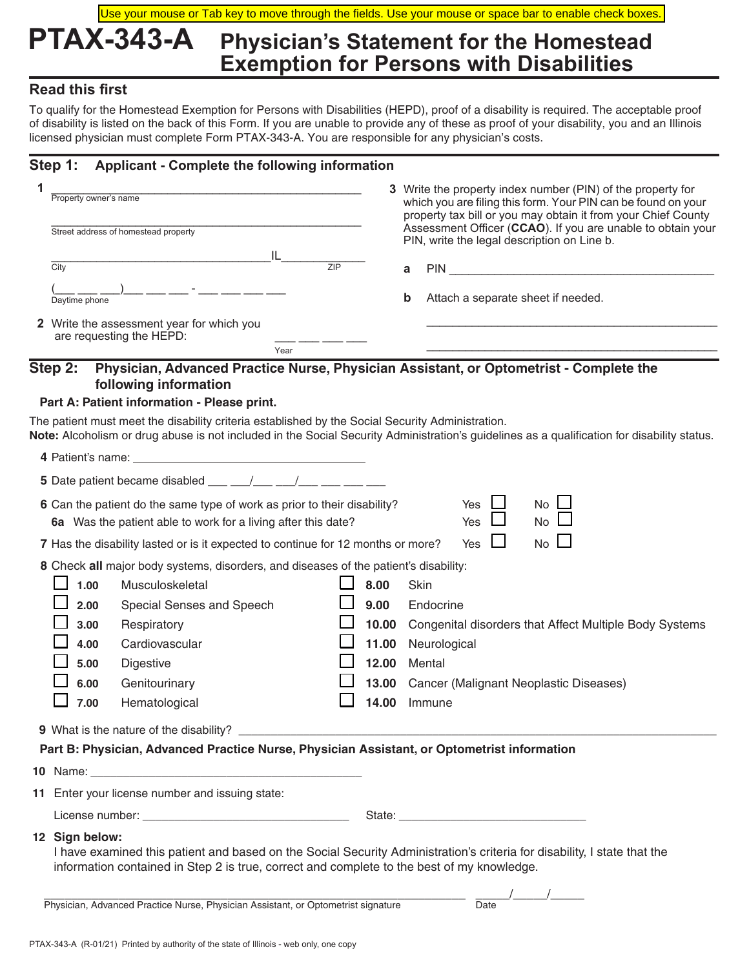## **PTAX-343-A Physician's Statement for the Homestead Exemption for Persons with Disabilities** Use your mouse or Tab key to move through the fields. Use your mouse or space bar to enable check boxes.

## **Read this first**

To qualify for the Homestead Exemption for Persons with Disabilities (HEPD), proof of a disability is required. The acceptable proof of disability is listed on the back of this Form. If you are unable to provide any of these as proof of your disability, you and an Illinois licensed physician must complete Form PTAX-343-A. You are responsible for any physician's costs.

## **Step 1: Applicant - Complete the following information**

| Property owner's name                                                        |           |   | 3 Write the property index number (PIN) of the property for<br>which you are filing this form. Your PIN can be found on your<br>property tax bill or you may obtain it from your Chief County |  |  |  |
|------------------------------------------------------------------------------|-----------|---|-----------------------------------------------------------------------------------------------------------------------------------------------------------------------------------------------|--|--|--|
| Street address of homestead property                                         |           |   | Assessment Officer (CCAO). If you are unable to obtain your<br>PIN, write the legal description on Line b.                                                                                    |  |  |  |
| City                                                                         | IL<br>7IP | a | <b>PIN</b>                                                                                                                                                                                    |  |  |  |
| Daytime phone                                                                |           | b | Attach a separate sheet if needed.                                                                                                                                                            |  |  |  |
| <b>2</b> Write the assessment year for which you<br>are requesting the HEPD: |           |   |                                                                                                                                                                                               |  |  |  |
|                                                                              | Year      |   |                                                                                                                                                                                               |  |  |  |

### **Step 2: Physician, Advanced Practice Nurse, Physician Assistant, or Optometrist - Complete the following information**

#### **Part A: Patient information - Please print.**

The patient must meet the disability criteria established by the Social Security Administration. **Note:** Alcoholism or drug abuse is not included in the Social Security Administration's guidelines as a qualification for disability status.

| <b>5</b> Date patient became disabled $\underline{\qquad \qquad }$ $\underline{\qquad \qquad }$ $\underline{\qquad \qquad }$ $\underline{\qquad \qquad }$ $\underline{\qquad \qquad }$ $\underline{\qquad \qquad }$ |                                                                                                                                                                                                                                          |                                                                                             |  |       |                                                                                                               |  |  |  |
|---------------------------------------------------------------------------------------------------------------------------------------------------------------------------------------------------------------------|------------------------------------------------------------------------------------------------------------------------------------------------------------------------------------------------------------------------------------------|---------------------------------------------------------------------------------------------|--|-------|---------------------------------------------------------------------------------------------------------------|--|--|--|
| No L<br>6 Can the patient do the same type of work as prior to their disability?<br>Yes<br><b>No</b><br>Yes<br>6a Was the patient able to work for a living after this date?                                        |                                                                                                                                                                                                                                          |                                                                                             |  |       |                                                                                                               |  |  |  |
| $No \Box$<br>7 Has the disability lasted or is it expected to continue for 12 months or more?<br>Yes                                                                                                                |                                                                                                                                                                                                                                          |                                                                                             |  |       |                                                                                                               |  |  |  |
|                                                                                                                                                                                                                     |                                                                                                                                                                                                                                          | 8 Check all major body systems, disorders, and diseases of the patient's disability:        |  |       |                                                                                                               |  |  |  |
|                                                                                                                                                                                                                     | 1.00<br>Musculoskeletal                                                                                                                                                                                                                  |                                                                                             |  |       | 8.00<br>Skin                                                                                                  |  |  |  |
|                                                                                                                                                                                                                     | 2.00                                                                                                                                                                                                                                     | Special Senses and Speech                                                                   |  |       | Endocrine                                                                                                     |  |  |  |
|                                                                                                                                                                                                                     | 3.00<br>Respiratory                                                                                                                                                                                                                      |                                                                                             |  | 10.00 | Congenital disorders that Affect Multiple Body Systems                                                        |  |  |  |
|                                                                                                                                                                                                                     | 11.00<br>4.00<br>Cardiovascular                                                                                                                                                                                                          |                                                                                             |  |       | Neurological                                                                                                  |  |  |  |
|                                                                                                                                                                                                                     | 5.00                                                                                                                                                                                                                                     | <b>Digestive</b>                                                                            |  | 12.00 | Mental                                                                                                        |  |  |  |
|                                                                                                                                                                                                                     | 6.00                                                                                                                                                                                                                                     | Genitourinary                                                                               |  | 13.00 | Cancer (Malignant Neoplastic Diseases)                                                                        |  |  |  |
|                                                                                                                                                                                                                     | 7.00<br>14.00<br>Hematological<br>Immune                                                                                                                                                                                                 |                                                                                             |  |       |                                                                                                               |  |  |  |
|                                                                                                                                                                                                                     |                                                                                                                                                                                                                                          |                                                                                             |  |       |                                                                                                               |  |  |  |
|                                                                                                                                                                                                                     |                                                                                                                                                                                                                                          | Part B: Physician, Advanced Practice Nurse, Physician Assistant, or Optometrist information |  |       |                                                                                                               |  |  |  |
|                                                                                                                                                                                                                     | 10 Name: The Second Contract of the Second Contract of the Second Contract of the Second Contract of the Second Contract of the Second Contract of the Second Contract of the Second Contract of the Second Contract of the Se           |                                                                                             |  |       |                                                                                                               |  |  |  |
|                                                                                                                                                                                                                     |                                                                                                                                                                                                                                          | 11 Enter your license number and issuing state:                                             |  |       |                                                                                                               |  |  |  |
|                                                                                                                                                                                                                     |                                                                                                                                                                                                                                          |                                                                                             |  |       | State: Web and the state of the state of the state of the state of the state of the state of the state of the |  |  |  |
|                                                                                                                                                                                                                     | 12 Sign below:<br>I have examined this patient and based on the Social Security Administration's criteria for disability, I state that the<br>information contained in Step 2 is true, correct and complete to the best of my knowledge. |                                                                                             |  |       |                                                                                                               |  |  |  |
|                                                                                                                                                                                                                     | Physician, Advanced Practice Nurse, Physician Assistant, or Optometrist signature<br>Date                                                                                                                                                |                                                                                             |  |       |                                                                                                               |  |  |  |
|                                                                                                                                                                                                                     |                                                                                                                                                                                                                                          |                                                                                             |  |       |                                                                                                               |  |  |  |